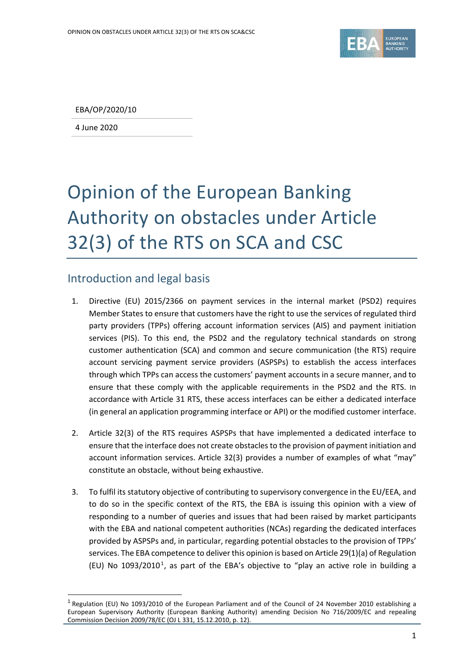

EBA/OP/2020/10

4 June 2020

 $\overline{a}$ 

# Opinion of the European Banking Authority on obstacles under Article 32(3) of the RTS on SCA and CSC

### Introduction and legal basis

- 1. Directive (EU) 2015/2366 on payment services in the internal market (PSD2) requires Member States to ensure that customers have the right to use the services of regulated third party providers (TPPs) offering account information services (AIS) and payment initiation services (PIS). To this end, the PSD2 and the regulatory technical standards on strong customer authentication (SCA) and common and secure communication (the RTS) require account servicing payment service providers (ASPSPs) to establish the access interfaces through which TPPs can access the customers' payment accounts in a secure manner, and to ensure that these comply with the applicable requirements in the PSD2 and the RTS. In accordance with Article 31 RTS, these access interfaces can be either a dedicated interface (in general an application programming interface or API) or the modified customer interface.
- 2. Article 32(3) of the RTS requires ASPSPs that have implemented a dedicated interface to ensure that the interface does not create obstacles to the provision of payment initiation and account information services. Article 32(3) provides a number of examples of what "may" constitute an obstacle, without being exhaustive.
- 3. To fulfil its statutory objective of contributing to supervisory convergence in the EU/EEA, and to do so in the specific context of the RTS, the EBA is issuing this opinion with a view of responding to a number of queries and issues that had been raised by market participants with the EBA and national competent authorities (NCAs) regarding the dedicated interfaces provided by ASPSPs and, in particular, regarding potential obstacles to the provision of TPPs' services. The EBA competence to deliver this opinion is based on Article 29(1)(a) of Regulation (EU) No  $1093/2010^1$  $1093/2010^1$ , as part of the EBA's objective to "play an active role in building a

<span id="page-0-0"></span><sup>1</sup> Regulation (EU) No 1093/2010 of the European Parliament and of the Council of 24 November 2010 establishing a European Supervisory Authority (European Banking Authority) amending Decision No 716/2009/EC and repealing Commission Decision 2009/78/EC (OJ L 331, 15.12.2010, p. 12).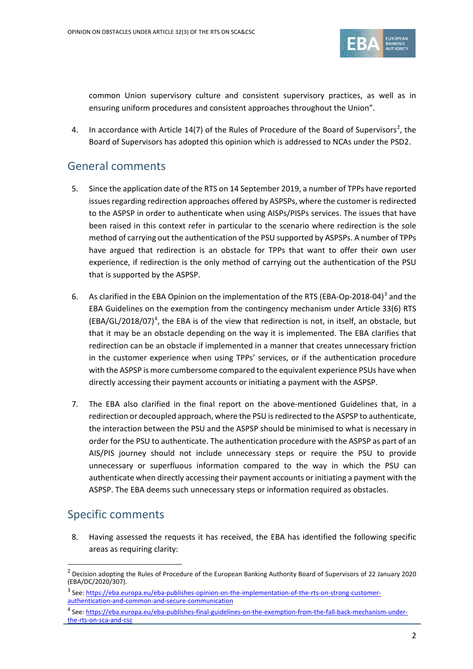

common Union supervisory culture and consistent supervisory practices, as well as in ensuring uniform procedures and consistent approaches throughout the Union".

4. In accordance with Article  $14(7)$  of the Rules of Procedure of the Board of Supervisors<sup>[2](#page-1-0)</sup>, the Board of Supervisors has adopted this opinion which is addressed to NCAs under the PSD2.

## General comments

- 5. Since the application date of the RTS on 14 September 2019, a number of TPPs have reported issues regarding redirection approaches offered by ASPSPs, where the customer is redirected to the ASPSP in order to authenticate when using AISPs/PISPs services. The issues that have been raised in this context refer in particular to the scenario where redirection is the sole method of carrying out the authentication of the PSU supported by ASPSPs. A number of TPPs have argued that redirection is an obstacle for TPPs that want to offer their own user experience, if redirection is the only method of carrying out the authentication of the PSU that is supported by the ASPSP.
- 6. As clarified in the EBA Opinion on the implementation of the RTS (EBA-Op-2018-04)<sup>[3](#page-1-1)</sup> and the EBA Guidelines on the exemption from the contingency mechanism under Article 33(6) RTS (EBA/GL/2018/07)<sup>[4](#page-1-2)</sup>, the EBA is of the view that redirection is not, in itself, an obstacle, but that it may be an obstacle depending on the way it is implemented. The EBA clarifies that redirection can be an obstacle if implemented in a manner that creates unnecessary friction in the customer experience when using TPPs' services, or if the authentication procedure with the ASPSP is more cumbersome compared to the equivalent experience PSUs have when directly accessing their payment accounts or initiating a payment with the ASPSP.
- 7. The EBA also clarified in the final report on the above-mentioned Guidelines that, in a redirection or decoupled approach, where the PSU is redirected to the ASPSP to authenticate, the interaction between the PSU and the ASPSP should be minimised to what is necessary in order for the PSU to authenticate. The authentication procedure with the ASPSP as part of an AIS/PIS journey should not include unnecessary steps or require the PSU to provide unnecessary or superfluous information compared to the way in which the PSU can authenticate when directly accessing their payment accounts or initiating a payment with the ASPSP. The EBA deems such unnecessary steps or information required as obstacles.

## Specific comments

 $\overline{a}$ 

8. Having assessed the requests it has received, the EBA has identified the following specific areas as requiring clarity:

<span id="page-1-0"></span><sup>&</sup>lt;sup>2</sup> Decision adopting the Rules of Procedure of the European Banking Authority Board of Supervisors of 22 January 2020 (EBA/DC/2020/307).

<span id="page-1-1"></span><sup>&</sup>lt;sup>3</sup> See: https://eba.europa.e<u>u/eba-publishes-opinion-on-the-implementation-of-the-rts-on-strong-customer-</u> [authentication-and-common-and-secure-communication](https://eba.europa.eu/eba-publishes-opinion-on-the-implementation-of-the-rts-on-strong-customer-authentication-and-common-and-secure-communication)

<span id="page-1-2"></span><sup>4</sup> See: [https://eba.europa.eu/eba-publishes-final-guidelines-on-the-exemption-from-the-fall-back-mechanism-under](https://eba.europa.eu/eba-publishes-final-guidelines-on-the-exemption-from-the-fall-back-mechanism-under-the-rts-on-sca-and-csc)[the-rts-on-sca-and-csc](https://eba.europa.eu/eba-publishes-final-guidelines-on-the-exemption-from-the-fall-back-mechanism-under-the-rts-on-sca-and-csc)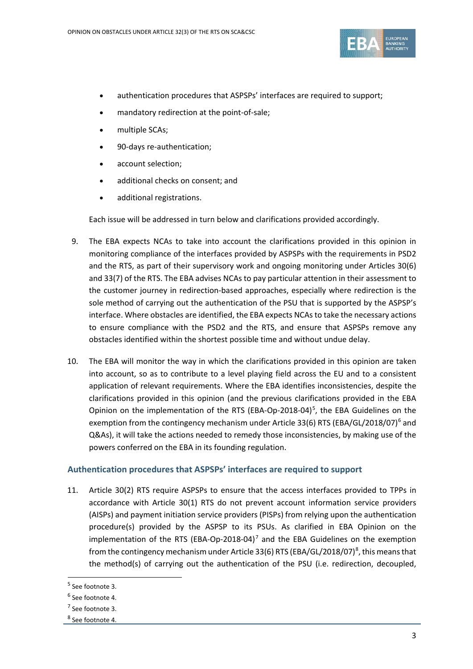

- authentication procedures that ASPSPs' interfaces are required to support;
- mandatory redirection at the point-of-sale;
- multiple SCAs;
- 90-days re-authentication;
- account selection;
- additional checks on consent; and
- additional registrations.

Each issue will be addressed in turn below and clarifications provided accordingly.

- 9. The EBA expects NCAs to take into account the clarifications provided in this opinion in monitoring compliance of the interfaces provided by ASPSPs with the requirements in PSD2 and the RTS, as part of their supervisory work and ongoing monitoring under Articles 30(6) and 33(7) of the RTS. The EBA advises NCAs to pay particular attention in their assessment to the customer journey in redirection-based approaches, especially where redirection is the sole method of carrying out the authentication of the PSU that is supported by the ASPSP's interface. Where obstacles are identified, the EBA expects NCAs to take the necessary actions to ensure compliance with the PSD2 and the RTS, and ensure that ASPSPs remove any obstacles identified within the shortest possible time and without undue delay.
- 10. The EBA will monitor the way in which the clarifications provided in this opinion are taken into account, so as to contribute to a level playing field across the EU and to a consistent application of relevant requirements. Where the EBA identifies inconsistencies, despite the clarifications provided in this opinion (and the previous clarifications provided in the EBA Opinion on the implementation of the RTS (EBA-Op-2018-04)<sup>[5](#page-2-0)</sup>, the EBA Guidelines on the exemption from the contingency mechanism under Article 33([6](#page-2-1)) RTS (EBA/GL/2018/07)<sup>6</sup> and Q&As), it will take the actions needed to remedy those inconsistencies, by making use of the powers conferred on the EBA in its founding regulation.

#### **Authentication procedures that ASPSPs' interfaces are required to support**

11. Article 30(2) RTS require ASPSPs to ensure that the access interfaces provided to TPPs in accordance with Article 30(1) RTS do not prevent account information service providers (AISPs) and payment initiation service providers (PISPs) from relying upon the authentication procedure(s) provided by the ASPSP to its PSUs. As clarified in EBA Opinion on the implementation of the RTS (EBA-Op-2018-04)<sup>[7](#page-2-2)</sup> and the EBA Guidelines on the exemption from the contingency mechanism under Article 33(6) RTS (EBA/GL/201[8](#page-2-3)/07)<sup>8</sup>, this means that the method(s) of carrying out the authentication of the PSU (i.e. redirection, decoupled,

l

<span id="page-2-0"></span><sup>5</sup> See footnote 3.

<sup>6</sup> See footnote 4.

<span id="page-2-2"></span><span id="page-2-1"></span><sup>7</sup> See footnote 3.

<span id="page-2-3"></span><sup>8</sup> See footnote 4.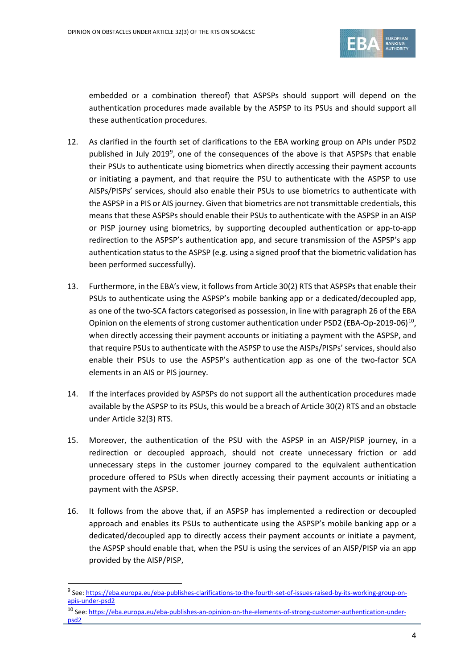

embedded or a combination thereof) that ASPSPs should support will depend on the authentication procedures made available by the ASPSP to its PSUs and should support all these authentication procedures.

- 12. As clarified in the fourth set of clarifications to the EBA working group on APIs under PSD2 published in July 201[9](#page-3-0)<sup>9</sup>, one of the consequences of the above is that ASPSPs that enable their PSUs to authenticate using biometrics when directly accessing their payment accounts or initiating a payment, and that require the PSU to authenticate with the ASPSP to use AISPs/PISPs' services, should also enable their PSUs to use biometrics to authenticate with the ASPSP in a PIS or AIS journey. Given that biometrics are not transmittable credentials, this means that these ASPSPs should enable their PSUs to authenticate with the ASPSP in an AISP or PISP journey using biometrics, by supporting decoupled authentication or app-to-app redirection to the ASPSP's authentication app, and secure transmission of the ASPSP's app authentication status to the ASPSP (e.g. using a signed proof that the biometric validation has been performed successfully).
- 13. Furthermore, in the EBA's view, it follows from Article 30(2) RTS that ASPSPs that enable their PSUs to authenticate using the ASPSP's mobile banking app or a dedicated/decoupled app, as one of the two-SCA factors categorised as possession, in line with paragraph 26 of the EBA Opinion on the elements of strong customer authentication under PSD2 (EBA-Op-2019-06) $^{10}$  $^{10}$  $^{10}$ , when directly accessing their payment accounts or initiating a payment with the ASPSP, and that require PSUs to authenticate with the ASPSP to use the AISPs/PISPs' services, should also enable their PSUs to use the ASPSP's authentication app as one of the two-factor SCA elements in an AIS or PIS journey.
- 14. If the interfaces provided by ASPSPs do not support all the authentication procedures made available by the ASPSP to its PSUs, this would be a breach of Article 30(2) RTS and an obstacle under Article 32(3) RTS.
- 15. Moreover, the authentication of the PSU with the ASPSP in an AISP/PISP journey, in a redirection or decoupled approach, should not create unnecessary friction or add unnecessary steps in the customer journey compared to the equivalent authentication procedure offered to PSUs when directly accessing their payment accounts or initiating a payment with the ASPSP.
- 16. It follows from the above that, if an ASPSP has implemented a redirection or decoupled approach and enables its PSUs to authenticate using the ASPSP's mobile banking app or a dedicated/decoupled app to directly access their payment accounts or initiate a payment, the ASPSP should enable that, when the PSU is using the services of an AISP/PISP via an app provided by the AISP/PISP,

 $\overline{a}$ 

<span id="page-3-0"></span><sup>9</sup> See[: https://eba.europa.eu/eba-publishes-clarifications-to-the-fourth-set-of-issues-raised-by-its-working-group-on](https://eba.europa.eu/eba-publishes-clarifications-to-the-fourth-set-of-issues-raised-by-its-working-group-on-apis-under-psd2)[apis-under-psd2](https://eba.europa.eu/eba-publishes-clarifications-to-the-fourth-set-of-issues-raised-by-its-working-group-on-apis-under-psd2)

<span id="page-3-1"></span><sup>10</sup> See[: https://eba.europa.eu/eba-publishes-an-opinion-on-the-elements-of-strong-customer-authentication-under](https://eba.europa.eu/eba-publishes-an-opinion-on-the-elements-of-strong-customer-authentication-under-psd2)[psd2](https://eba.europa.eu/eba-publishes-an-opinion-on-the-elements-of-strong-customer-authentication-under-psd2)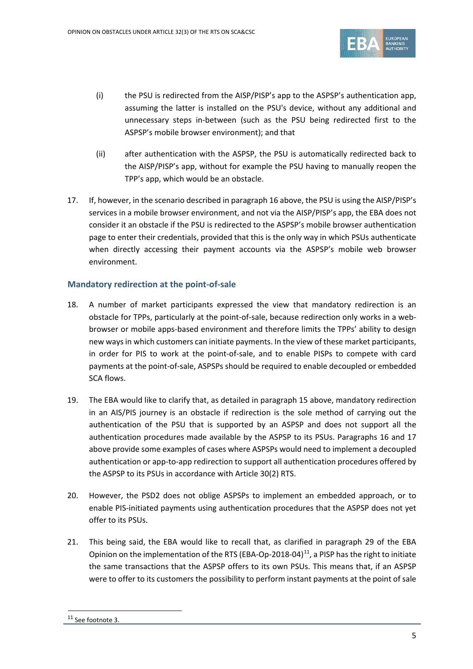

- (i) the PSU is redirected from the AISP/PISP's app to the ASPSP's authentication app, assuming the latter is installed on the PSU's device, without any additional and unnecessary steps in-between (such as the PSU being redirected first to the ASPSP's mobile browser environment); and that
- (ii) after authentication with the ASPSP, the PSU is automatically redirected back to the AISP/PISP's app, without for example the PSU having to manually reopen the TPP's app, which would be an obstacle.
- 17. If, however, in the scenario described in paragraph 16 above, the PSU is using the AISP/PISP's services in a mobile browser environment, and not via the AISP/PISP's app, the EBA does not consider it an obstacle if the PSU is redirected to the ASPSP's mobile browser authentication page to enter their credentials, provided that this is the only way in which PSUs authenticate when directly accessing their payment accounts via the ASPSP's mobile web browser environment.

#### **Mandatory redirection at the point-of-sale**

- 18. A number of market participants expressed the view that mandatory redirection is an obstacle for TPPs, particularly at the point-of-sale, because redirection only works in a webbrowser or mobile apps-based environment and therefore limits the TPPs' ability to design new ways in which customers can initiate payments. In the view of these market participants, in order for PIS to work at the point-of-sale, and to enable PISPs to compete with card payments at the point-of-sale, ASPSPs should be required to enable decoupled or embedded SCA flows.
- 19. The EBA would like to clarify that, as detailed in paragraph 15 above, mandatory redirection in an AIS/PIS journey is an obstacle if redirection is the sole method of carrying out the authentication of the PSU that is supported by an ASPSP and does not support all the authentication procedures made available by the ASPSP to its PSUs. Paragraphs 16 and 17 above provide some examples of cases where ASPSPs would need to implement a decoupled authentication or app-to-app redirection to support all authentication procedures offered by the ASPSP to its PSUs in accordance with Article 30(2) RTS.
- 20. However, the PSD2 does not oblige ASPSPs to implement an embedded approach, or to enable PIS-initiated payments using authentication procedures that the ASPSP does not yet offer to its PSUs.
- 21. This being said, the EBA would like to recall that, as clarified in paragraph 29 of the EBA Opinion on the implementation of the RTS (EBA-Op-2018-04) $^{11}$ , a PISP has the right to initiate the same transactions that the ASPSP offers to its own PSUs. This means that, if an ASPSP were to offer to its customers the possibility to perform instant payments at the point of sale

<span id="page-4-0"></span>l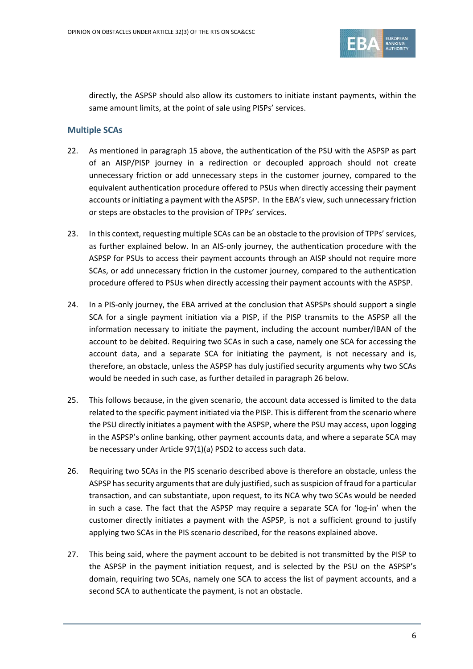

directly, the ASPSP should also allow its customers to initiate instant payments, within the same amount limits, at the point of sale using PISPs' services.

#### **Multiple SCAs**

- 22. As mentioned in paragraph 15 above, the authentication of the PSU with the ASPSP as part of an AISP/PISP journey in a redirection or decoupled approach should not create unnecessary friction or add unnecessary steps in the customer journey, compared to the equivalent authentication procedure offered to PSUs when directly accessing their payment accounts or initiating a payment with the ASPSP. In the EBA's view, such unnecessary friction or steps are obstacles to the provision of TPPs' services.
- 23. In this context, requesting multiple SCAs can be an obstacle to the provision of TPPs' services, as further explained below. In an AIS-only journey, the authentication procedure with the ASPSP for PSUs to access their payment accounts through an AISP should not require more SCAs, or add unnecessary friction in the customer journey, compared to the authentication procedure offered to PSUs when directly accessing their payment accounts with the ASPSP.
- 24. In a PIS-only journey, the EBA arrived at the conclusion that ASPSPs should support a single SCA for a single payment initiation via a PISP, if the PISP transmits to the ASPSP all the information necessary to initiate the payment, including the account number/IBAN of the account to be debited. Requiring two SCAs in such a case, namely one SCA for accessing the account data, and a separate SCA for initiating the payment, is not necessary and is, therefore, an obstacle, unless the ASPSP has duly justified security arguments why two SCAs would be needed in such case, as further detailed in paragraph 26 below.
- 25. This follows because, in the given scenario, the account data accessed is limited to the data related to the specific payment initiated via the PISP. This is different from the scenario where the PSU directly initiates a payment with the ASPSP, where the PSU may access, upon logging in the ASPSP's online banking, other payment accounts data, and where a separate SCA may be necessary under Article 97(1)(a) PSD2 to access such data.
- 26. Requiring two SCAs in the PIS scenario described above is therefore an obstacle, unless the ASPSP has security arguments that are duly justified, such as suspicion of fraud for a particular transaction, and can substantiate, upon request, to its NCA why two SCAs would be needed in such a case. The fact that the ASPSP may require a separate SCA for 'log-in' when the customer directly initiates a payment with the ASPSP, is not a sufficient ground to justify applying two SCAs in the PIS scenario described, for the reasons explained above.
- 27. This being said, where the payment account to be debited is not transmitted by the PISP to the ASPSP in the payment initiation request, and is selected by the PSU on the ASPSP's domain, requiring two SCAs, namely one SCA to access the list of payment accounts, and a second SCA to authenticate the payment, is not an obstacle.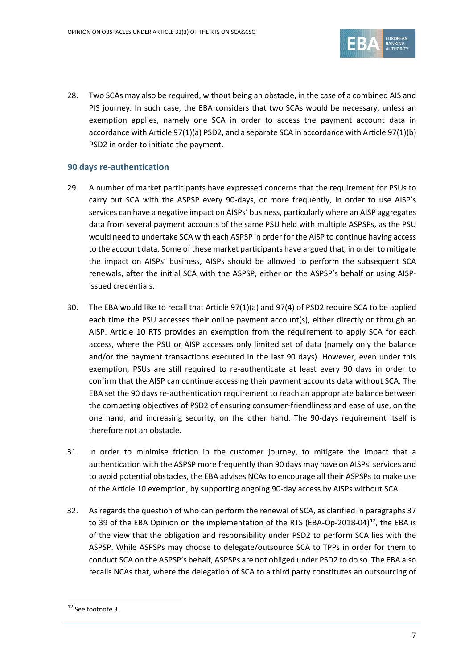

28. Two SCAs may also be required, without being an obstacle, in the case of a combined AIS and PIS journey. In such case, the EBA considers that two SCAs would be necessary, unless an exemption applies, namely one SCA in order to access the payment account data in accordance with Article 97(1)(a) PSD2, and a separate SCA in accordance with Article 97(1)(b) PSD2 in order to initiate the payment.

#### **90 days re-authentication**

- 29. A number of market participants have expressed concerns that the requirement for PSUs to carry out SCA with the ASPSP every 90-days, or more frequently, in order to use AISP's services can have a negative impact on AISPs' business, particularly where an AISP aggregates data from several payment accounts of the same PSU held with multiple ASPSPs, as the PSU would need to undertake SCA with each ASPSP in order for the AISP to continue having access to the account data. Some of these market participants have argued that, in order to mitigate the impact on AISPs' business, AISPs should be allowed to perform the subsequent SCA renewals, after the initial SCA with the ASPSP, either on the ASPSP's behalf or using AISPissued credentials.
- 30. The EBA would like to recall that Article 97(1)(a) and 97(4) of PSD2 require SCA to be applied each time the PSU accesses their online payment account(s), either directly or through an AISP. Article 10 RTS provides an exemption from the requirement to apply SCA for each access, where the PSU or AISP accesses only limited set of data (namely only the balance and/or the payment transactions executed in the last 90 days). However, even under this exemption, PSUs are still required to re-authenticate at least every 90 days in order to confirm that the AISP can continue accessing their payment accounts data without SCA. The EBA set the 90 days re-authentication requirement to reach an appropriate balance between the competing objectives of PSD2 of ensuring consumer-friendliness and ease of use, on the one hand, and increasing security, on the other hand. The 90-days requirement itself is therefore not an obstacle.
- 31. In order to minimise friction in the customer journey, to mitigate the impact that a authentication with the ASPSP more frequently than 90 days may have on AISPs' services and to avoid potential obstacles, the EBA advises NCAs to encourage all their ASPSPs to make use of the Article 10 exemption, by supporting ongoing 90-day access by AISPs without SCA.
- 32. As regards the question of who can perform the renewal of SCA, as clarified in paragraphs 37 to 39 of the EBA Opinion on the implementation of the RTS (EBA-Op-2018-04)<sup>[12](#page-6-0)</sup>, the EBA is of the view that the obligation and responsibility under PSD2 to perform SCA lies with the ASPSP. While ASPSPs may choose to delegate/outsource SCA to TPPs in order for them to conduct SCA on the ASPSP's behalf, ASPSPs are not obliged under PSD2 to do so. The EBA also recalls NCAs that, where the delegation of SCA to a third party constitutes an outsourcing of

 $\overline{a}$ 

<span id="page-6-0"></span><sup>12</sup> See footnote 3.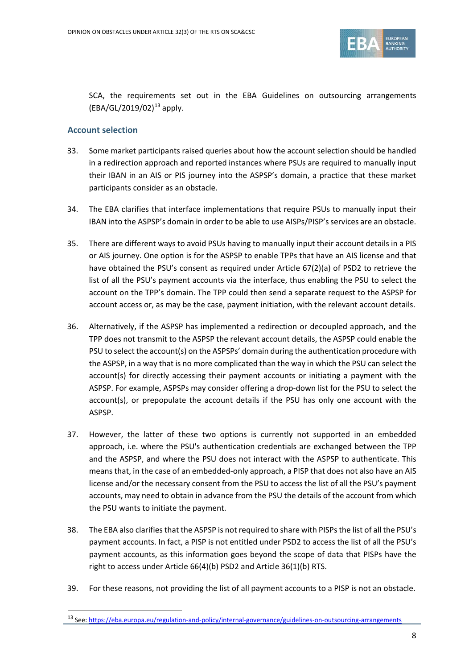

SCA, the requirements set out in the EBA Guidelines on outsourcing arrangements  $(EBA/GL/2019/02)^{13}$  $(EBA/GL/2019/02)^{13}$  $(EBA/GL/2019/02)^{13}$  apply.

#### **Account selection**

l

- 33. Some market participants raised queries about how the account selection should be handled in a redirection approach and reported instances where PSUs are required to manually input their IBAN in an AIS or PIS journey into the ASPSP's domain, a practice that these market participants consider as an obstacle.
- 34. The EBA clarifies that interface implementations that require PSUs to manually input their IBAN into the ASPSP's domain in order to be able to use AISPs/PISP's services are an obstacle.
- 35. There are different ways to avoid PSUs having to manually input their account details in a PIS or AIS journey. One option is for the ASPSP to enable TPPs that have an AIS license and that have obtained the PSU's consent as required under Article 67(2)(a) of PSD2 to retrieve the list of all the PSU's payment accounts via the interface, thus enabling the PSU to select the account on the TPP's domain. The TPP could then send a separate request to the ASPSP for account access or, as may be the case, payment initiation, with the relevant account details.
- 36. Alternatively, if the ASPSP has implemented a redirection or decoupled approach, and the TPP does not transmit to the ASPSP the relevant account details, the ASPSP could enable the PSU to select the account(s) on the ASPSPs' domain during the authentication procedure with the ASPSP, in a way that is no more complicated than the way in which the PSU can select the account(s) for directly accessing their payment accounts or initiating a payment with the ASPSP. For example, ASPSPs may consider offering a drop-down list for the PSU to select the account(s), or prepopulate the account details if the PSU has only one account with the ASPSP.
- 37. However, the latter of these two options is currently not supported in an embedded approach, i.e. where the PSU's authentication credentials are exchanged between the TPP and the ASPSP, and where the PSU does not interact with the ASPSP to authenticate. This means that, in the case of an embedded-only approach, a PISP that does not also have an AIS license and/or the necessary consent from the PSU to access the list of all the PSU's payment accounts, may need to obtain in advance from the PSU the details of the account from which the PSU wants to initiate the payment.
- 38. The EBA also clarifies that the ASPSP is not required to share with PISPsthe list of all the PSU's payment accounts. In fact, a PISP is not entitled under PSD2 to access the list of all the PSU's payment accounts, as this information goes beyond the scope of data that PISPs have the right to access under Article 66(4)(b) PSD2 and Article 36(1)(b) RTS.
- 39. For these reasons, not providing the list of all payment accounts to a PISP is not an obstacle.

<span id="page-7-0"></span><sup>13</sup> See[: https://eba.europa.eu/regulation-and-policy/internal-governance/guidelines-on-outsourcing-arrangements](https://eba.europa.eu/regulation-and-policy/internal-governance/guidelines-on-outsourcing-arrangements)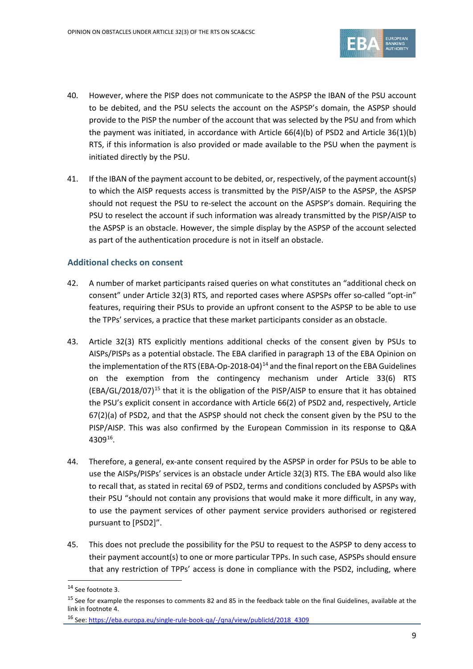

- 40. However, where the PISP does not communicate to the ASPSP the IBAN of the PSU account to be debited, and the PSU selects the account on the ASPSP's domain, the ASPSP should provide to the PISP the number of the account that was selected by the PSU and from which the payment was initiated, in accordance with Article 66(4)(b) of PSD2 and Article 36(1)(b) RTS, if this information is also provided or made available to the PSU when the payment is initiated directly by the PSU.
- 41. If the IBAN of the payment account to be debited, or, respectively, of the payment account(s) to which the AISP requests access is transmitted by the PISP/AISP to the ASPSP, the ASPSP should not request the PSU to re-select the account on the ASPSP's domain. Requiring the PSU to reselect the account if such information was already transmitted by the PISP/AISP to the ASPSP is an obstacle. However, the simple display by the ASPSP of the account selected as part of the authentication procedure is not in itself an obstacle.

#### **Additional checks on consent**

- 42. A number of market participants raised queries on what constitutes an "additional check on consent" under Article 32(3) RTS, and reported cases where ASPSPs offer so-called "opt-in" features, requiring their PSUs to provide an upfront consent to the ASPSP to be able to use the TPPs' services, a practice that these market participants consider as an obstacle.
- 43. Article 32(3) RTS explicitly mentions additional checks of the consent given by PSUs to AISPs/PISPs as a potential obstacle. The EBA clarified in paragraph 13 of the EBA Opinion on the implementation of the RTS (EBA-Op-2018-04)<sup>[14](#page-8-0)</sup> and the final report on the EBA Guidelines on the exemption from the contingency mechanism under Article 33(6) RTS (EBA/GL/2018/07)[15](#page-8-1) that it is the obligation of the PISP/AISP to ensure that it has obtained the PSU's explicit consent in accordance with Article 66(2) of PSD2 and, respectively, Article 67(2)(a) of PSD2, and that the ASPSP should not check the consent given by the PSU to the PISP/AISP. This was also confirmed by the European Commission in its response to Q&A 4309[16.](#page-8-2)
- 44. Therefore, a general, ex-ante consent required by the ASPSP in order for PSUs to be able to use the AISPs/PISPs' services is an obstacle under Article 32(3) RTS. The EBA would also like to recall that, as stated in recital 69 of PSD2, terms and conditions concluded by ASPSPs with their PSU "should not contain any provisions that would make it more difficult, in any way, to use the payment services of other payment service providers authorised or registered pursuant to [PSD2]".
- 45. This does not preclude the possibility for the PSU to request to the ASPSP to deny access to their payment account(s) to one or more particular TPPs. In such case, ASPSPs should ensure that any restriction of TPPs' access is done in compliance with the PSD2, including, where

 $\overline{a}$ 

<span id="page-8-0"></span><sup>&</sup>lt;sup>14</sup> See footnote 3.

<span id="page-8-1"></span> $15$  See for example the responses to comments 82 and 85 in the feedback table on the final Guidelines, available at the link in footnote 4.

<span id="page-8-2"></span><sup>16</sup> See[: https://eba.europa.eu/single-rule-book-qa/-/qna/view/publicId/2018\\_4309](https://eba.europa.eu/single-rule-book-qa/-/qna/view/publicId/2018_4309)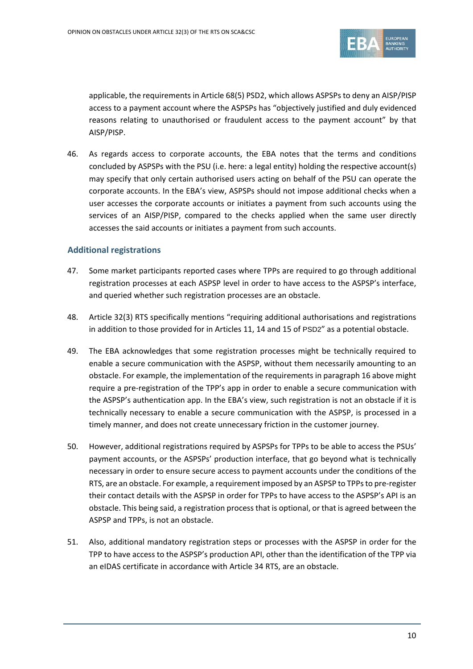

applicable, the requirements in Article 68(5) PSD2, which allows ASPSPs to deny an AISP/PISP access to a payment account where the ASPSPs has "objectively justified and duly evidenced reasons relating to unauthorised or fraudulent access to the payment account" by that AISP/PISP.

46. As regards access to corporate accounts, the EBA notes that the terms and conditions concluded by ASPSPs with the PSU (i.e. here: a legal entity) holding the respective account(s) may specify that only certain authorised users acting on behalf of the PSU can operate the corporate accounts. In the EBA's view, ASPSPs should not impose additional checks when a user accesses the corporate accounts or initiates a payment from such accounts using the services of an AISP/PISP, compared to the checks applied when the same user directly accesses the said accounts or initiates a payment from such accounts.

#### **Additional registrations**

- 47. Some market participants reported cases where TPPs are required to go through additional registration processes at each ASPSP level in order to have access to the ASPSP's interface, and queried whether such registration processes are an obstacle.
- 48. Article 32(3) RTS specifically mentions "requiring additional authorisations and registrations in addition to those provided for in Articles 11, 14 and 15 of PSD2" as a potential obstacle.
- 49. The EBA acknowledges that some registration processes might be technically required to enable a secure communication with the ASPSP, without them necessarily amounting to an obstacle. For example, the implementation of the requirements in paragraph 16 above might require a pre-registration of the TPP's app in order to enable a secure communication with the ASPSP's authentication app. In the EBA's view, such registration is not an obstacle if it is technically necessary to enable a secure communication with the ASPSP, is processed in a timely manner, and does not create unnecessary friction in the customer journey.
- 50. However, additional registrations required by ASPSPs for TPPs to be able to access the PSUs' payment accounts, or the ASPSPs' production interface, that go beyond what is technically necessary in order to ensure secure access to payment accounts under the conditions of the RTS, are an obstacle. For example, a requirement imposed by an ASPSP to TPPs to pre-register their contact details with the ASPSP in order for TPPs to have access to the ASPSP's API is an obstacle. This being said, a registration process that is optional, or that is agreed between the ASPSP and TPPs, is not an obstacle.
- 51. Also, additional mandatory registration steps or processes with the ASPSP in order for the TPP to have access to the ASPSP's production API, other than the identification of the TPP via an eIDAS certificate in accordance with Article 34 RTS, are an obstacle.